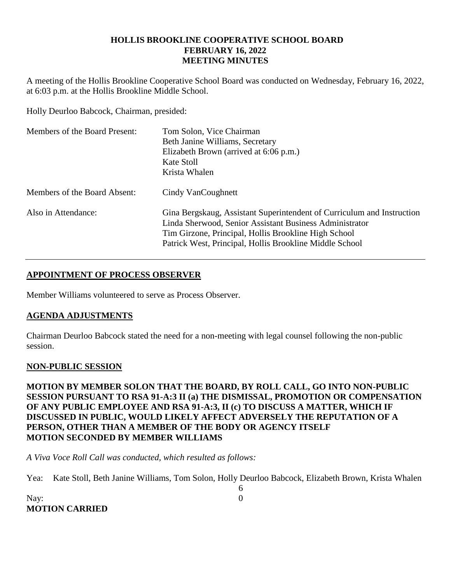### **HOLLIS BROOKLINE COOPERATIVE SCHOOL BOARD FEBRUARY 16, 2022 MEETING MINUTES**

A meeting of the Hollis Brookline Cooperative School Board was conducted on Wednesday, February 16, 2022, at 6:03 p.m. at the Hollis Brookline Middle School.

Holly Deurloo Babcock, Chairman, presided:

| Members of the Board Present: | Tom Solon, Vice Chairman<br>Beth Janine Williams, Secretary<br>Elizabeth Brown (arrived at 6:06 p.m.)<br>Kate Stoll<br>Krista Whalen                                                                                                                 |
|-------------------------------|------------------------------------------------------------------------------------------------------------------------------------------------------------------------------------------------------------------------------------------------------|
| Members of the Board Absent:  | Cindy VanCoughnett                                                                                                                                                                                                                                   |
| Also in Attendance:           | Gina Bergskaug, Assistant Superintendent of Curriculum and Instruction<br>Linda Sherwood, Senior Assistant Business Administrator<br>Tim Girzone, Principal, Hollis Brookline High School<br>Patrick West, Principal, Hollis Brookline Middle School |

# **APPOINTMENT OF PROCESS OBSERVER**

Member Williams volunteered to serve as Process Observer.

## **AGENDA ADJUSTMENTS**

Chairman Deurloo Babcock stated the need for a non-meeting with legal counsel following the non-public session.

## **NON-PUBLIC SESSION**

**MOTION BY MEMBER SOLON THAT THE BOARD, BY ROLL CALL, GO INTO NON-PUBLIC SESSION PURSUANT TO RSA 91-A:3 II (a) THE DISMISSAL, PROMOTION OR COMPENSATION OF ANY PUBLIC EMPLOYEE AND RSA 91-A:3, II (c) TO DISCUSS A MATTER, WHICH IF DISCUSSED IN PUBLIC, WOULD LIKELY AFFECT ADVERSELY THE REPUTATION OF A PERSON, OTHER THAN A MEMBER OF THE BODY OR AGENCY ITSELF MOTION SECONDED BY MEMBER WILLIAMS**

*A Viva Voce Roll Call was conducted, which resulted as follows:*

Yea: Kate Stoll, Beth Janine Williams, Tom Solon, Holly Deurloo Babcock, Elizabeth Brown, Krista Whalen

6

Nay: 0 **MOTION CARRIED**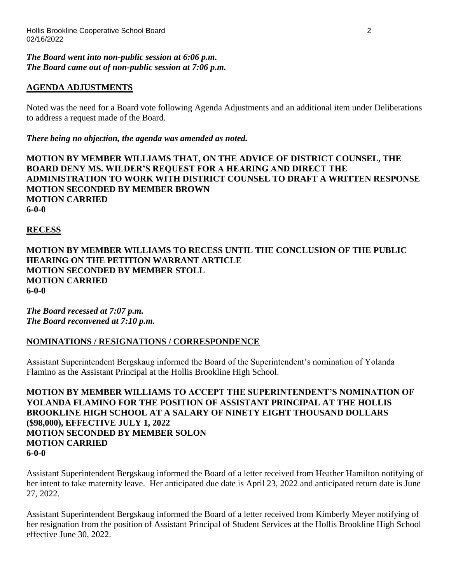#### *The Board went into non-public session at 6:06 p.m. The Board came out of non-public session at 7:06 p.m.*

# **AGENDA ADJUSTMENTS**

Noted was the need for a Board vote following Agenda Adjustments and an additional item under Deliberations to address a request made of the Board.

*There being no objection, the agenda was amended as noted.*

**MOTION BY MEMBER WILLIAMS THAT, ON THE ADVICE OF DISTRICT COUNSEL, THE BOARD DENY MS. WILDER'S REQUEST FOR A HEARING AND DIRECT THE ADMINISTRATION TO WORK WITH DISTRICT COUNSEL TO DRAFT A WRITTEN RESPONSE MOTION SECONDED BY MEMBER BROWN MOTION CARRIED 6-0-0**

### **RECESS**

**MOTION BY MEMBER WILLIAMS TO RECESS UNTIL THE CONCLUSION OF THE PUBLIC HEARING ON THE PETITION WARRANT ARTICLE MOTION SECONDED BY MEMBER STOLL MOTION CARRIED 6-0-0**

*The Board recessed at 7:07 p.m. The Board reconvened at 7:10 p.m.*

## **NOMINATIONS / RESIGNATIONS / CORRESPONDENCE**

Assistant Superintendent Bergskaug informed the Board of the Superintendent's nomination of Yolanda Flamino as the Assistant Principal at the Hollis Brookline High School.

**MOTION BY MEMBER WILLIAMS TO ACCEPT THE SUPERINTENDENT'S NOMINATION OF YOLANDA FLAMINO FOR THE POSITION OF ASSISTANT PRINCIPAL AT THE HOLLIS BROOKLINE HIGH SCHOOL AT A SALARY OF NINETY EIGHT THOUSAND DOLLARS (\$98,000), EFFECTIVE JULY 1, 2022 MOTION SECONDED BY MEMBER SOLON MOTION CARRIED 6-0-0**

Assistant Superintendent Bergskaug informed the Board of a letter received from Heather Hamilton notifying of her intent to take maternity leave. Her anticipated due date is April 23, 2022 and anticipated return date is June 27, 2022.

Assistant Superintendent Bergskaug informed the Board of a letter received from Kimberly Meyer notifying of her resignation from the position of Assistant Principal of Student Services at the Hollis Brookline High School effective June 30, 2022.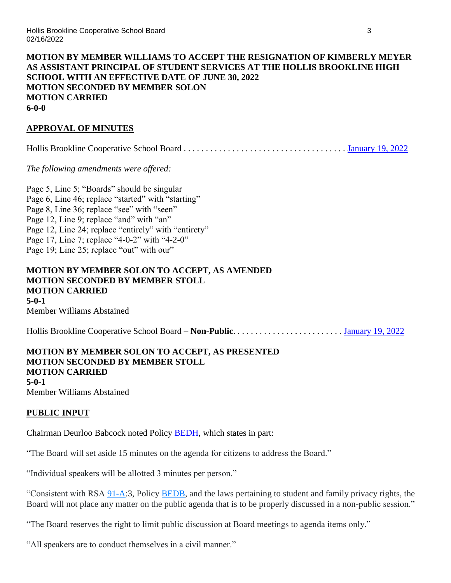### **MOTION BY MEMBER WILLIAMS TO ACCEPT THE RESIGNATION OF KIMBERLY MEYER AS ASSISTANT PRINCIPAL OF STUDENT SERVICES AT THE HOLLIS BROOKLINE HIGH SCHOOL WITH AN EFFECTIVE DATE OF JUNE 30, 2022 MOTION SECONDED BY MEMBER SOLON MOTION CARRIED 6-0-0**

# **APPROVAL OF MINUTES**

Hollis Brookline Cooperative School Board . . . . . . . . . . . . . . . . . . . . . . . . . . . . . . . . . . . . . [January 19, 2022](https://www.sau41.org/docs/district/depts/110/2022-01-19-hbcsb-minutes-draft.pdf?id=2726)

*The following amendments were offered:*

Page 5, Line 5; "Boards" should be singular Page 6, Line 46; replace "started" with "starting" Page 8, Line 36; replace "see" with "seen" Page 12, Line 9; replace "and" with "an" Page 12, Line 24; replace "entirely" with "entirety" Page 17, Line 7; replace "4-0-2" with "4-2-0" Page 19; Line 25; replace "out" with our"

## **MOTION BY MEMBER SOLON TO ACCEPT, AS AMENDED MOTION SECONDED BY MEMBER STOLL MOTION CARRIED 5-0-1** Member Williams Abstained

Hollis Brookline Cooperative School Board – **Non-Public**. . . . . . . . . . . . . . . . . . . . . . . . . [January 19, 2022](https://www.sau41.org/docs/district/depts/110/2022-01-19-hbcsb-non-public-minutes-draft.pdf?id=2712)

### **MOTION BY MEMBER SOLON TO ACCEPT, AS PRESENTED MOTION SECONDED BY MEMBER STOLL MOTION CARRIED 5-0-1** Member Williams Abstained

## **PUBLIC INPUT**

Chairman Deurloo Babcock noted Policy [BEDH,](http://z2policy.ctspublish.com/policy/browse/hollisbrooklineset/hollisbrookline/z20000032/JD_BEDH) which states in part:

"The Board will set aside 15 minutes on the agenda for citizens to address the Board."

"Individual speakers will be allotted 3 minutes per person."

"Consistent with RSA [91-A:](http://www.gencourt.state.nh.us/rsa/html/NHTOC/NHTOC-VI-91-A.htm)3, Policy [BEDB,](http://z2policy.ctspublish.com/policy/) and the laws pertaining to student and family privacy rights, the Board will not place any matter on the public agenda that is to be properly discussed in a non-public session."

"The Board reserves the right to limit public discussion at Board meetings to agenda items only."

"All speakers are to conduct themselves in a civil manner."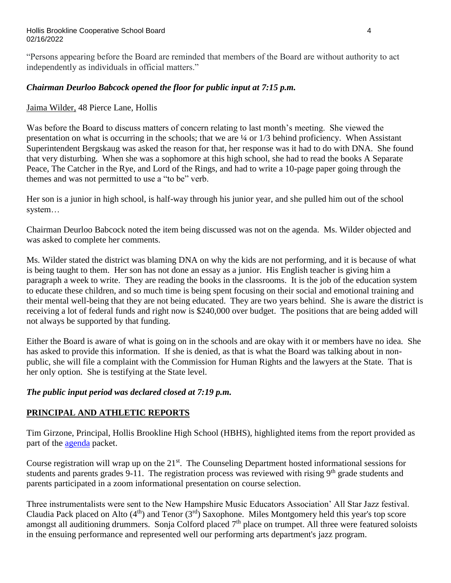"Persons appearing before the Board are reminded that members of the Board are without authority to act independently as individuals in official matters."

# *Chairman Deurloo Babcock opened the floor for public input at 7:15 p.m.*

Jaima Wilder, 48 Pierce Lane, Hollis

Was before the Board to discuss matters of concern relating to last month's meeting. She viewed the presentation on what is occurring in the schools; that we are ¼ or 1/3 behind proficiency. When Assistant Superintendent Bergskaug was asked the reason for that, her response was it had to do with DNA. She found that very disturbing. When she was a sophomore at this high school, she had to read the books A Separate Peace, The Catcher in the Rye, and Lord of the Rings, and had to write a 10-page paper going through the themes and was not permitted to use a "to be" verb.

Her son is a junior in high school, is half-way through his junior year, and she pulled him out of the school system…

Chairman Deurloo Babcock noted the item being discussed was not on the agenda. Ms. Wilder objected and was asked to complete her comments.

Ms. Wilder stated the district was blaming DNA on why the kids are not performing, and it is because of what is being taught to them. Her son has not done an essay as a junior. His English teacher is giving him a paragraph a week to write. They are reading the books in the classrooms. It is the job of the education system to educate these children, and so much time is being spent focusing on their social and emotional training and their mental well-being that they are not being educated. They are two years behind. She is aware the district is receiving a lot of federal funds and right now is \$240,000 over budget. The positions that are being added will not always be supported by that funding.

Either the Board is aware of what is going on in the schools and are okay with it or members have no idea. She has asked to provide this information. If she is denied, as that is what the Board was talking about in nonpublic, she will file a complaint with the Commission for Human Rights and the lawyers at the State. That is her only option. She is testifying at the State level.

## *The public input period was declared closed at 7:19 p.m.*

# **PRINCIPAL AND ATHLETIC REPORTS**

Tim Girzone, Principal, Hollis Brookline High School (HBHS), highlighted items from the report provided as part of the [agenda](https://www.sau41.org/docs/district/depts/110/hb%20coop%20agenda%20packet%202-16-22.pdf?id=2812) packet.

Course registration will wrap up on the  $21<sup>st</sup>$ . The Counseling Department hosted informational sessions for students and parents grades 9-11. The registration process was reviewed with rising 9<sup>th</sup> grade students and parents participated in a zoom informational presentation on course selection.

Three instrumentalists were sent to the New Hampshire Music Educators Association' All Star Jazz festival. Claudia Pack placed on Alto  $(4<sup>th</sup>)$  and Tenor  $(3<sup>rd</sup>)$  Saxophone. Miles Montgomery held this year's top score amongst all auditioning drummers. Sonja Colford placed 7<sup>th</sup> place on trumpet. All three were featured soloists in the ensuing performance and represented well our performing arts department's jazz program.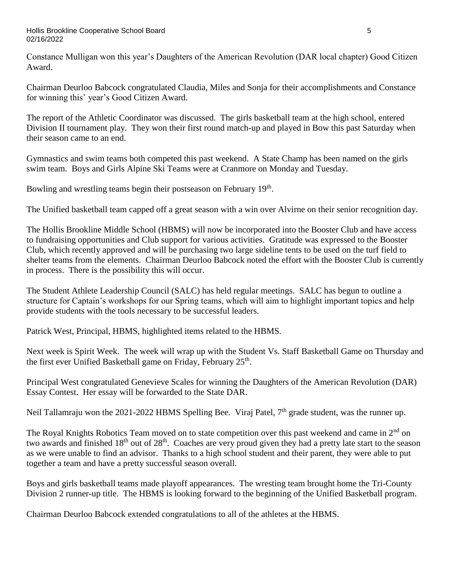Constance Mulligan won this year's Daughters of the American Revolution (DAR local chapter) Good Citizen Award.

Chairman Deurloo Babcock congratulated Claudia, Miles and Sonja for their accomplishments and Constance for winning this' year's Good Citizen Award.

The report of the Athletic Coordinator was discussed. The girls basketball team at the high school, entered Division II tournament play. They won their first round match-up and played in Bow this past Saturday when their season came to an end.

Gymnastics and swim teams both competed this past weekend. A State Champ has been named on the girls swim team. Boys and Girls Alpine Ski Teams were at Cranmore on Monday and Tuesday.

Bowling and wrestling teams begin their postseason on February 19<sup>th</sup>.

The Unified basketball team capped off a great season with a win over Alvirne on their senior recognition day.

The Hollis Brookline Middle School (HBMS) will now be incorporated into the Booster Club and have access to fundraising opportunities and Club support for various activities. Gratitude was expressed to the Booster Club, which recently approved and will be purchasing two large sideline tents to be used on the turf field to shelter teams from the elements. Chairman Deurloo Babcock noted the effort with the Booster Club is currently in process. There is the possibility this will occur.

The Student Athlete Leadership Council (SALC) has held regular meetings. SALC has begun to outline a structure for Captain's workshops for our Spring teams, which will aim to highlight important topics and help provide students with the tools necessary to be successful leaders.

Patrick West, Principal, HBMS, highlighted items related to the HBMS.

Next week is Spirit Week. The week will wrap up with the Student Vs. Staff Basketball Game on Thursday and the first ever Unified Basketball game on Friday, February 25<sup>th</sup>.

Principal West congratulated Genevieve Scales for winning the Daughters of the American Revolution (DAR) Essay Contest. Her essay will be forwarded to the State DAR.

Neil Tallamraju won the 2021-2022 HBMS Spelling Bee. Viraj Patel, 7<sup>th</sup> grade student, was the runner up.

The Royal Knights Robotics Team moved on to state competition over this past weekend and came in 2<sup>nd</sup> on two awards and finished  $18<sup>th</sup>$  out of  $28<sup>th</sup>$ . Coaches are very proud given they had a pretty late start to the season as we were unable to find an advisor. Thanks to a high school student and their parent, they were able to put together a team and have a pretty successful season overall.

Boys and girls basketball teams made playoff appearances. The wresting team brought home the Tri-County Division 2 runner-up title. The HBMS is looking forward to the beginning of the Unified Basketball program.

Chairman Deurloo Babcock extended congratulations to all of the athletes at the HBMS.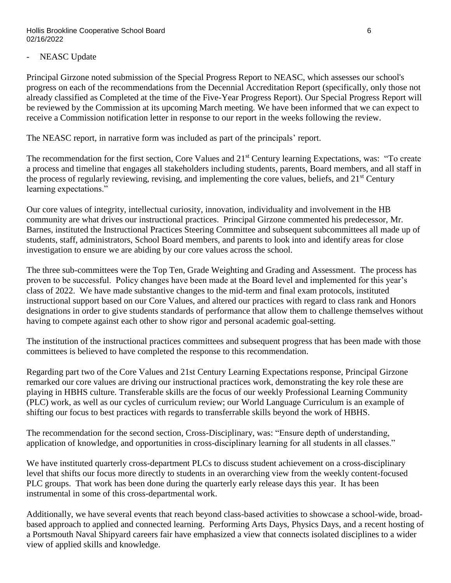## NEASC Update

Principal Girzone noted submission of the Special Progress Report to NEASC, which assesses our school's progress on each of the recommendations from the Decennial Accreditation Report (specifically, only those not already classified as Completed at the time of the Five-Year Progress Report). Our Special Progress Report will be reviewed by the Commission at its upcoming March meeting. We have been informed that we can expect to receive a Commission notification letter in response to our report in the weeks following the review.

The NEASC report, in narrative form was included as part of the principals' report.

The recommendation for the first section, Core Values and 21<sup>st</sup> Century learning Expectations, was: "To create a process and timeline that engages all stakeholders including students, parents, Board members, and all staff in the process of regularly reviewing, revising, and implementing the core values, beliefs, and 21<sup>st</sup> Century learning expectations."

Our core values of integrity, intellectual curiosity, innovation, individuality and involvement in the HB community are what drives our instructional practices. Principal Girzone commented his predecessor, Mr. Barnes, instituted the Instructional Practices Steering Committee and subsequent subcommittees all made up of students, staff, administrators, School Board members, and parents to look into and identify areas for close investigation to ensure we are abiding by our core values across the school.

The three sub-committees were the Top Ten, Grade Weighting and Grading and Assessment. The process has proven to be successful. Policy changes have been made at the Board level and implemented for this year's class of 2022. We have made substantive changes to the mid-term and final exam protocols, instituted instructional support based on our Core Values, and altered our practices with regard to class rank and Honors designations in order to give students standards of performance that allow them to challenge themselves without having to compete against each other to show rigor and personal academic goal-setting.

The institution of the instructional practices committees and subsequent progress that has been made with those committees is believed to have completed the response to this recommendation.

Regarding part two of the Core Values and 21st Century Learning Expectations response, Principal Girzone remarked our core values are driving our instructional practices work, demonstrating the key role these are playing in HBHS culture. Transferable skills are the focus of our weekly Professional Learning Community (PLC) work, as well as our cycles of curriculum review; our World Language Curriculum is an example of shifting our focus to best practices with regards to transferrable skills beyond the work of HBHS.

The recommendation for the second section, Cross-Disciplinary, was: "Ensure depth of understanding, application of knowledge, and opportunities in cross-disciplinary learning for all students in all classes."

We have instituted quarterly cross-department PLCs to discuss student achievement on a cross-disciplinary level that shifts our focus more directly to students in an overarching view from the weekly content-focused PLC groups. That work has been done during the quarterly early release days this year. It has been instrumental in some of this cross-departmental work.

Additionally, we have several events that reach beyond class-based activities to showcase a school-wide, broadbased approach to applied and connected learning. Performing Arts Days, Physics Days, and a recent hosting of a Portsmouth Naval Shipyard careers fair have emphasized a view that connects isolated disciplines to a wider view of applied skills and knowledge.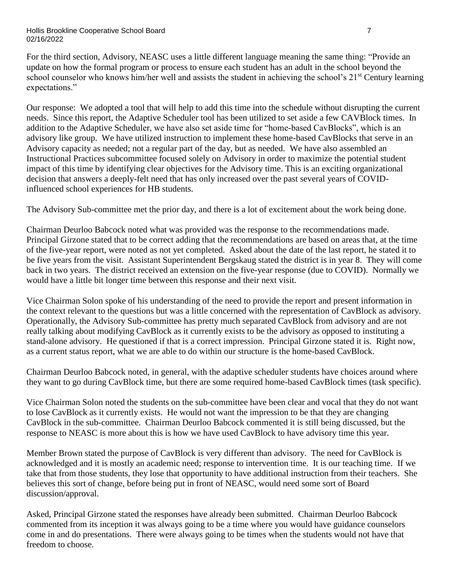For the third section, Advisory, NEASC uses a little different language meaning the same thing: "Provide an update on how the formal program or process to ensure each student has an adult in the school beyond the school counselor who knows him/her well and assists the student in achieving the school's 21<sup>st</sup> Century learning expectations."

Our response: We adopted a tool that will help to add this time into the schedule without disrupting the current needs. Since this report, the Adaptive Scheduler tool has been utilized to set aside a few CAVBlock times. In addition to the Adaptive Scheduler, we have also set aside time for "home-based CavBlocks", which is an advisory like group. We have utilized instruction to implement these home-based CavBlocks that serve in an Advisory capacity as needed; not a regular part of the day, but as needed. We have also assembled an Instructional Practices subcommittee focused solely on Advisory in order to maximize the potential student impact of this time by identifying clear objectives for the Advisory time. This is an exciting organizational decision that answers a deeply-felt need that has only increased over the past several years of COVIDinfluenced school experiences for HB students.

The Advisory Sub-committee met the prior day, and there is a lot of excitement about the work being done.

Chairman Deurloo Babcock noted what was provided was the response to the recommendations made. Principal Girzone stated that to be correct adding that the recommendations are based on areas that, at the time of the five-year report, were noted as not yet completed. Asked about the date of the last report, he stated it to be five years from the visit. Assistant Superintendent Bergskaug stated the district is in year 8. They will come back in two years. The district received an extension on the five-year response (due to COVID). Normally we would have a little bit longer time between this response and their next visit.

Vice Chairman Solon spoke of his understanding of the need to provide the report and present information in the context relevant to the questions but was a little concerned with the representation of CavBlock as advisory. Operationally, the Advisory Sub-committee has pretty much separated CavBlock from advisory and are not really talking about modifying CavBlock as it currently exists to be the advisory as opposed to instituting a stand-alone advisory. He questioned if that is a correct impression. Principal Girzone stated it is. Right now, as a current status report, what we are able to do within our structure is the home-based CavBlock.

Chairman Deurloo Babcock noted, in general, with the adaptive scheduler students have choices around where they want to go during CavBlock time, but there are some required home-based CavBlock times (task specific).

Vice Chairman Solon noted the students on the sub-committee have been clear and vocal that they do not want to lose CavBlock as it currently exists. He would not want the impression to be that they are changing CavBlock in the sub-committee. Chairman Deurloo Babcock commented it is still being discussed, but the response to NEASC is more about this is how we have used CavBlock to have advisory time this year.

Member Brown stated the purpose of CavBlock is very different than advisory. The need for CavBlock is acknowledged and it is mostly an academic need; response to intervention time. It is our teaching time. If we take that from those students, they lose that opportunity to have additional instruction from their teachers. She believes this sort of change, before being put in front of NEASC, would need some sort of Board discussion/approval.

Asked, Principal Girzone stated the responses have already been submitted. Chairman Deurloo Babcock commented from its inception it was always going to be a time where you would have guidance counselors come in and do presentations. There were always going to be times when the students would not have that freedom to choose.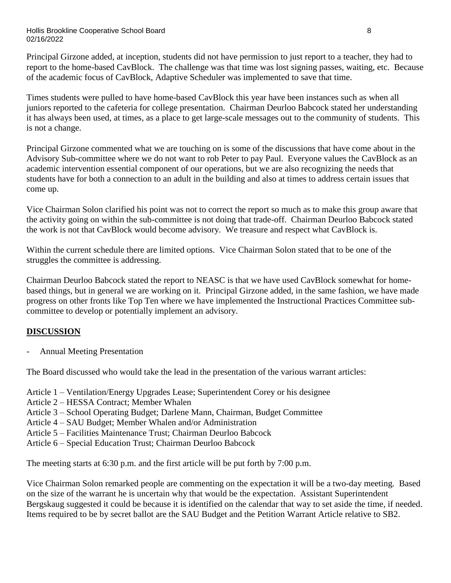Principal Girzone added, at inception, students did not have permission to just report to a teacher, they had to report to the home-based CavBlock. The challenge was that time was lost signing passes, waiting, etc. Because of the academic focus of CavBlock, Adaptive Scheduler was implemented to save that time.

Times students were pulled to have home-based CavBlock this year have been instances such as when all juniors reported to the cafeteria for college presentation. Chairman Deurloo Babcock stated her understanding it has always been used, at times, as a place to get large-scale messages out to the community of students. This is not a change.

Principal Girzone commented what we are touching on is some of the discussions that have come about in the Advisory Sub-committee where we do not want to rob Peter to pay Paul. Everyone values the CavBlock as an academic intervention essential component of our operations, but we are also recognizing the needs that students have for both a connection to an adult in the building and also at times to address certain issues that come up.

Vice Chairman Solon clarified his point was not to correct the report so much as to make this group aware that the activity going on within the sub-committee is not doing that trade-off. Chairman Deurloo Babcock stated the work is not that CavBlock would become advisory. We treasure and respect what CavBlock is.

Within the current schedule there are limited options. Vice Chairman Solon stated that to be one of the struggles the committee is addressing.

Chairman Deurloo Babcock stated the report to NEASC is that we have used CavBlock somewhat for homebased things, but in general we are working on it. Principal Girzone added, in the same fashion, we have made progress on other fronts like Top Ten where we have implemented the Instructional Practices Committee subcommittee to develop or potentially implement an advisory.

# **DISCUSSION**

- Annual Meeting Presentation

The Board discussed who would take the lead in the presentation of the various warrant articles:

- Article 1 Ventilation/Energy Upgrades Lease; Superintendent Corey or his designee
- Article 2 HESSA Contract; Member Whalen
- Article 3 School Operating Budget; Darlene Mann, Chairman, Budget Committee
- Article 4 SAU Budget; Member Whalen and/or Administration
- Article 5 Facilities Maintenance Trust; Chairman Deurloo Babcock
- Article 6 Special Education Trust; Chairman Deurloo Babcock

The meeting starts at 6:30 p.m. and the first article will be put forth by 7:00 p.m.

Vice Chairman Solon remarked people are commenting on the expectation it will be a two-day meeting. Based on the size of the warrant he is uncertain why that would be the expectation. Assistant Superintendent Bergskaug suggested it could be because it is identified on the calendar that way to set aside the time, if needed. Items required to be by secret ballot are the SAU Budget and the Petition Warrant Article relative to SB2.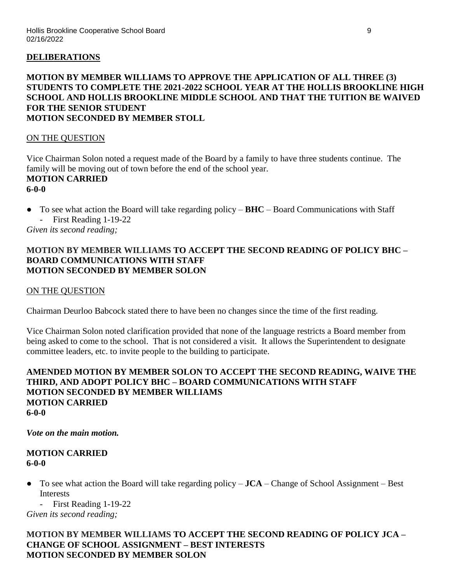### **DELIBERATIONS**

### **MOTION BY MEMBER WILLIAMS TO APPROVE THE APPLICATION OF ALL THREE (3) STUDENTS TO COMPLETE THE 2021-2022 SCHOOL YEAR AT THE HOLLIS BROOKLINE HIGH SCHOOL AND HOLLIS BROOKLINE MIDDLE SCHOOL AND THAT THE TUITION BE WAIVED FOR THE SENIOR STUDENT MOTION SECONDED BY MEMBER STOLL**

#### ON THE QUESTION

Vice Chairman Solon noted a request made of the Board by a family to have three students continue. The family will be moving out of town before the end of the school year. **MOTION CARRIED 6-0-0**

● To see what action the Board will take regarding policy – **BHC** – Board Communications with Staff - First Reading 1-19-22

*Given its second reading;*

#### **MOTION BY MEMBER WILLIAMS TO ACCEPT THE SECOND READING OF POLICY BHC – BOARD COMMUNICATIONS WITH STAFF MOTION SECONDED BY MEMBER SOLON**

#### ON THE QUESTION

Chairman Deurloo Babcock stated there to have been no changes since the time of the first reading.

Vice Chairman Solon noted clarification provided that none of the language restricts a Board member from being asked to come to the school. That is not considered a visit. It allows the Superintendent to designate committee leaders, etc. to invite people to the building to participate.

#### **AMENDED MOTION BY MEMBER SOLON TO ACCEPT THE SECOND READING, WAIVE THE THIRD, AND ADOPT POLICY BHC – BOARD COMMUNICATIONS WITH STAFF MOTION SECONDED BY MEMBER WILLIAMS MOTION CARRIED 6-0-0**

#### *Vote on the main motion.*

### **MOTION CARRIED 6-0-0**

● To see what action the Board will take regarding policy – **JCA** – Change of School Assignment – Best Interests

- First Reading 1-19-22

*Given its second reading;*

### **MOTION BY MEMBER WILLIAMS TO ACCEPT THE SECOND READING OF POLICY JCA – CHANGE OF SCHOOL ASSIGNMENT – BEST INTERESTS MOTION SECONDED BY MEMBER SOLON**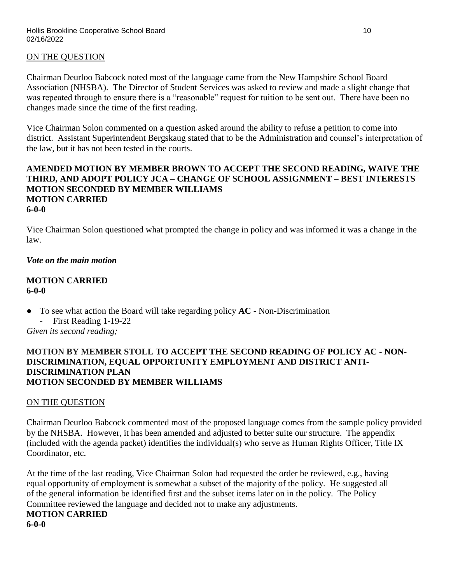### ON THE QUESTION

Chairman Deurloo Babcock noted most of the language came from the New Hampshire School Board Association (NHSBA). The Director of Student Services was asked to review and made a slight change that was repeated through to ensure there is a "reasonable" request for tuition to be sent out. There have been no changes made since the time of the first reading.

Vice Chairman Solon commented on a question asked around the ability to refuse a petition to come into district. Assistant Superintendent Bergskaug stated that to be the Administration and counsel's interpretation of the law, but it has not been tested in the courts.

### **AMENDED MOTION BY MEMBER BROWN TO ACCEPT THE SECOND READING, WAIVE THE THIRD, AND ADOPT POLICY JCA – CHANGE OF SCHOOL ASSIGNMENT – BEST INTERESTS MOTION SECONDED BY MEMBER WILLIAMS MOTION CARRIED 6-0-0**

Vice Chairman Solon questioned what prompted the change in policy and was informed it was a change in the law.

### *Vote on the main motion*

#### **MOTION CARRIED 6-0-0**

- To see what action the Board will take regarding policy **AC** Non-Discrimination
	- First Reading 1-19-22

*Given its second reading;*

### **MOTION BY MEMBER STOLL TO ACCEPT THE SECOND READING OF POLICY AC - NON-DISCRIMINATION, EQUAL OPPORTUNITY EMPLOYMENT AND DISTRICT ANTI-DISCRIMINATION PLAN MOTION SECONDED BY MEMBER WILLIAMS**

#### ON THE QUESTION

Chairman Deurloo Babcock commented most of the proposed language comes from the sample policy provided by the NHSBA. However, it has been amended and adjusted to better suite our structure. The appendix (included with the agenda packet) identifies the individual(s) who serve as Human Rights Officer, Title IX Coordinator, etc.

At the time of the last reading, Vice Chairman Solon had requested the order be reviewed, e.g., having equal opportunity of employment is somewhat a subset of the majority of the policy. He suggested all of the general information be identified first and the subset items later on in the policy. The Policy Committee reviewed the language and decided not to make any adjustments.

#### **MOTION CARRIED 6-0-0**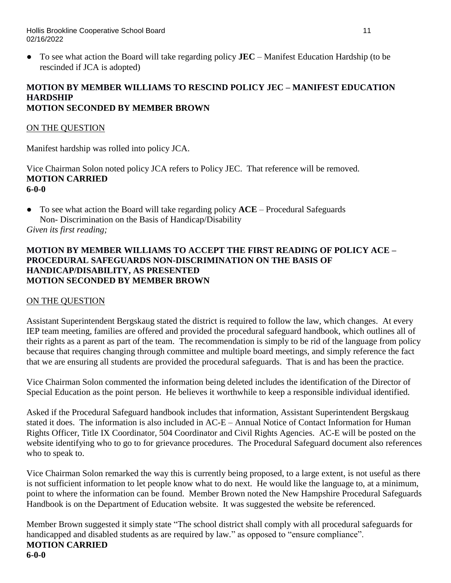● To see what action the Board will take regarding policy **JEC** – Manifest Education Hardship (to be rescinded if JCA is adopted)

### **MOTION BY MEMBER WILLIAMS TO RESCIND POLICY JEC – MANIFEST EDUCATION HARDSHIP MOTION SECONDED BY MEMBER BROWN**

## ON THE QUESTION

Manifest hardship was rolled into policy JCA.

Vice Chairman Solon noted policy JCA refers to Policy JEC. That reference will be removed. **MOTION CARRIED 6-0-0**

● To see what action the Board will take regarding policy **ACE** – Procedural Safeguards Non- Discrimination on the Basis of Handicap/Disability *Given its first reading;*

# **MOTION BY MEMBER WILLIAMS TO ACCEPT THE FIRST READING OF POLICY ACE – PROCEDURAL SAFEGUARDS NON-DISCRIMINATION ON THE BASIS OF HANDICAP/DISABILITY, AS PRESENTED MOTION SECONDED BY MEMBER BROWN**

## ON THE QUESTION

Assistant Superintendent Bergskaug stated the district is required to follow the law, which changes. At every IEP team meeting, families are offered and provided the procedural safeguard handbook, which outlines all of their rights as a parent as part of the team. The recommendation is simply to be rid of the language from policy because that requires changing through committee and multiple board meetings, and simply reference the fact that we are ensuring all students are provided the procedural safeguards. That is and has been the practice.

Vice Chairman Solon commented the information being deleted includes the identification of the Director of Special Education as the point person. He believes it worthwhile to keep a responsible individual identified.

Asked if the Procedural Safeguard handbook includes that information, Assistant Superintendent Bergskaug stated it does. The information is also included in AC-E – Annual Notice of Contact Information for Human Rights Officer, Title IX Coordinator, 504 Coordinator and Civil Rights Agencies. AC-E will be posted on the website identifying who to go to for grievance procedures. The Procedural Safeguard document also references who to speak to.

Vice Chairman Solon remarked the way this is currently being proposed, to a large extent, is not useful as there is not sufficient information to let people know what to do next. He would like the language to, at a minimum, point to where the information can be found. Member Brown noted the New Hampshire Procedural Safeguards Handbook is on the Department of Education website. It was suggested the website be referenced.

Member Brown suggested it simply state "The school district shall comply with all procedural safeguards for handicapped and disabled students as are required by law." as opposed to "ensure compliance". **MOTION CARRIED 6-0-0**